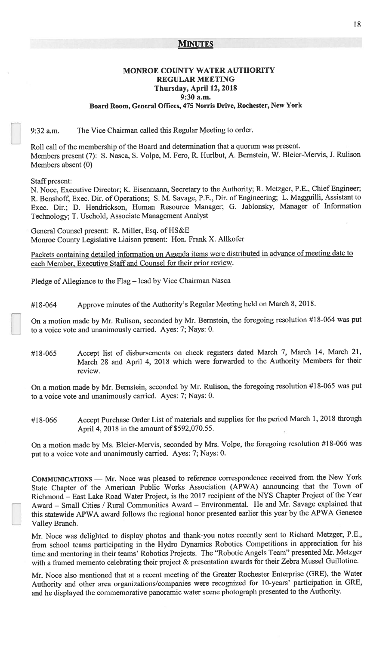### **MINUTES**

# MONROE COUNTY WATER AUTHORITY **REGULAR MEETING** Thursday, April 12, 2018 9:30 a.m. Board Room, General Offices, 475 Norris Drive, Rochester, New York

The Vice Chairman called this Regular Meeting to order. 9:32 a.m.

Roll call of the membership of the Board and determination that a quorum was present. Members present (7): S. Nasca, S. Volpe, M. Fero, R. Hurlbut, A. Bernstein, W. Bleier-Mervis, J. Rulison Members absent (0)

Staff present:

N. Noce, Executive Director; K. Eisenmann, Secretary to the Authority; R. Metzger, P.E., Chief Engineer; R. Benshoff, Exec. Dir. of Operations; S. M. Savage, P.E., Dir. of Engineering; L. Magguilli, Assistant to Exec. Dir.; D. Hendrickson, Human Resource Manager; G. Jablonsky, Manager of Information Technology; T. Uschold, Associate Management Analyst

General Counsel present: R. Miller, Esq. of HS&E Monroe County Legislative Liaison present: Hon. Frank X. Allkofer

Packets containing detailed information on Agenda items were distributed in advance of meeting date to each Member, Executive Staff and Counsel for their prior review.

Pledge of Allegiance to the Flag - lead by Vice Chairman Nasca

Approve minutes of the Authority's Regular Meeting held on March 8, 2018. #18-064

On a motion made by Mr. Rulison, seconded by Mr. Bernstein, the foregoing resolution #18-064 was put to a voice vote and unanimously carried. Ayes: 7; Nays: 0.

Accept list of disbursements on check registers dated March 7, March 14, March 21, #18-065 March 28 and April 4, 2018 which were forwarded to the Authority Members for their review.

On a motion made by Mr. Bernstein, seconded by Mr. Rulison, the foregoing resolution #18-065 was put to a voice vote and unanimously carried. Ayes: 7; Nays: 0.

Accept Purchase Order List of materials and supplies for the period March 1, 2018 through #18-066 April 4, 2018 in the amount of \$592,070.55.

On a motion made by Ms. Bleier-Mervis, seconded by Mrs. Volpe, the foregoing resolution #18-066 was put to a voice vote and unanimously carried. Ayes: 7; Nays: 0.

COMMUNICATIONS - Mr. Noce was pleased to reference correspondence received from the New York State Chapter of the American Public Works Association (APWA) announcing that the Town of Richmond - East Lake Road Water Project, is the 2017 recipient of the NYS Chapter Project of the Year Award - Small Cities / Rural Communities Award - Environmental. He and Mr. Savage explained that this statewide APWA award follows the regional honor presented earlier this year by the APWA Genesee Valley Branch.

Mr. Noce was delighted to display photos and thank-you notes recently sent to Richard Metzger, P.E., from school teams participating in the Hydro Dynamics Robotics Competitions in appreciation for his time and mentoring in their teams' Robotics Projects. The "Robotic Angels Team" presented Mr. Metzger with a framed memento celebrating their project & presentation awards for their Zebra Mussel Guillotine.

Mr. Noce also mentioned that at a recent meeting of the Greater Rochester Enterprise (GRE), the Water Authority and other area organizations/companies were recognized for 10-years' participation in GRE, and he displayed the commemorative panoramic water scene photograph presented to the Authority.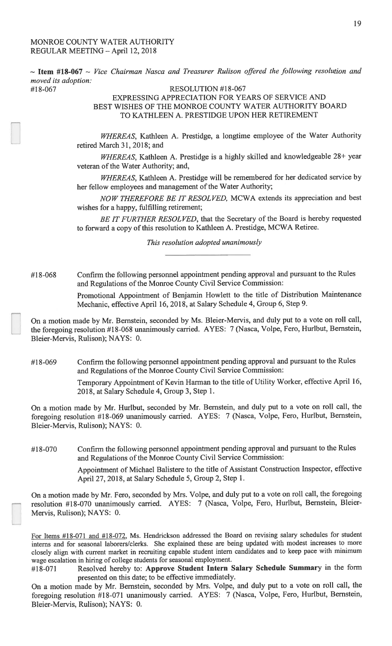#18-067

 $\sim$  Item #18-067  $\sim$  Vice Chairman Nasca and Treasurer Rulison offered the following resolution and moved its adoption:

RESOLUTION #18-067 EXPRESSING APPRECIATION FOR YEARS OF SERVICE AND BEST WISHES OF THE MONROE COUNTY WATER AUTHORITY BOARD TO KATHLEEN A. PRESTIDGE UPON HER RETIREMENT

WHEREAS, Kathleen A. Prestidge, a longtime employee of the Water Authority retired March 31, 2018; and

WHEREAS, Kathleen A. Prestidge is a highly skilled and knowledgeable 28+ year veteran of the Water Authority; and,

WHEREAS, Kathleen A. Prestidge will be remembered for her dedicated service by her fellow employees and management of the Water Authority;

NOW THEREFORE BE IT RESOLVED, MCWA extends its appreciation and best wishes for a happy, fulfilling retirement;

BE IT FURTHER RESOLVED, that the Secretary of the Board is hereby requested to forward a copy of this resolution to Kathleen A. Prestidge, MCWA Retiree.

This resolution adopted unanimously

Confirm the following personnel appointment pending approval and pursuant to the Rules #18-068 and Regulations of the Monroe County Civil Service Commission:

> Promotional Appointment of Benjamin Howlett to the title of Distribution Maintenance Mechanic, effective April 16, 2018, at Salary Schedule 4, Group 6, Step 9.

On a motion made by Mr. Bernstein, seconded by Ms. Bleier-Mervis, and duly put to a vote on roll call, the foregoing resolution #18-068 unanimously carried. AYES: 7 (Nasca, Volpe, Fero, Hurlbut, Bernstein, Bleier-Mervis, Rulison); NAYS: 0.

Confirm the following personnel appointment pending approval and pursuant to the Rules #18-069 and Regulations of the Monroe County Civil Service Commission:

> Temporary Appointment of Kevin Harman to the title of Utility Worker, effective April 16, 2018, at Salary Schedule 4, Group 3, Step 1.

On a motion made by Mr. Hurlbut, seconded by Mr. Bernstein, and duly put to a vote on roll call, the foregoing resolution #18-069 unanimously carried. AYES: 7 (Nasca, Volpe, Fero, Hurlbut, Bernstein, Bleier-Mervis, Rulison); NAYS: 0.

Confirm the following personnel appointment pending approval and pursuant to the Rules #18-070 and Regulations of the Monroe County Civil Service Commission:

> Appointment of Michael Balistere to the title of Assistant Construction Inspector, effective April 27, 2018, at Salary Schedule 5, Group 2, Step 1.

On a motion made by Mr. Fero, seconded by Mrs. Volpe, and duly put to a vote on roll call, the foregoing resolution #18-070 unanimously carried. AYES: 7 (Nasca, Volpe, Fero, Hurlbut, Bernstein, Bleier-Mervis, Rulison); NAYS: 0.

For Items #18-071 and #18-072, Ms. Hendrickson addressed the Board on revising salary schedules for student interns and for seasonal laborers/clerks. She explained these are being updated with modest increases to more closely align with current market in recruiting capable student intern candidates and to keep pace with minimum wage escalation in hiring of college students for seasonal employment.

Resolved hereby to: Approve Student Intern Salary Schedule Summary in the form #18-071 presented on this date; to be effective immediately.

On a motion made by Mr. Bernstein, seconded by Mrs. Volpe, and duly put to a vote on roll call, the foregoing resolution #18-071 unanimously carried. AYES: 7 (Nasca, Volpe, Fero, Hurlbut, Bernstein, Bleier-Mervis, Rulison); NAYS: 0.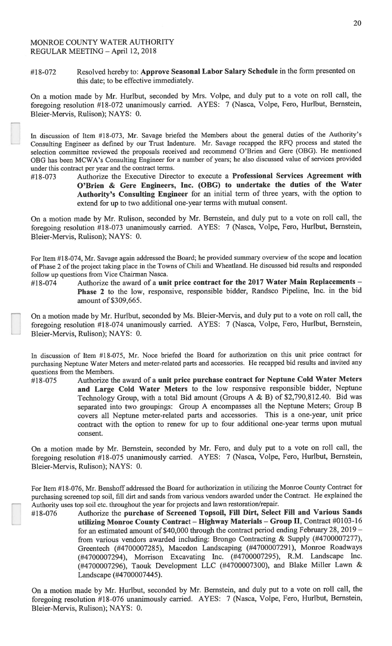#18-073

#### Resolved hereby to: Approve Seasonal Labor Salary Schedule in the form presented on #18-072 this date; to be effective immediately.

On a motion made by Mr. Hurlbut, seconded by Mrs. Volpe, and duly put to a vote on roll call, the foregoing resolution #18-072 unanimously carried. AYES: 7 (Nasca, Volpe, Fero, Hurlbut, Bernstein, Bleier-Mervis, Rulison); NAYS: 0.

In discussion of Item #18-073, Mr. Savage briefed the Members about the general duties of the Authority's Consulting Engineer as defined by our Trust Indenture. Mr. Savage recapped the RFQ process and stated the selection committee reviewed the proposals received and recommend O'Brien and Gere (OBG). He mentioned OBG has been MCWA's Consulting Engineer for a number of years; he also discussed value of services provided under this contract per year and the contract terms.

Authorize the Executive Director to execute a Professional Services Agreement with O'Brien & Gere Engineers, Inc. (OBG) to undertake the duties of the Water Authority's Consulting Engineer for an initial term of three years, with the option to extend for up to two additional one-year terms with mutual consent.

On a motion made by Mr. Rulison, seconded by Mr. Bernstein, and duly put to a vote on roll call, the foregoing resolution #18-073 unanimously carried. AYES: 7 (Nasca, Volpe, Fero, Hurlbut, Bernstein, Bleier-Mervis, Rulison); NAYS: 0.

For Item #18-074, Mr. Savage again addressed the Board; he provided summary overview of the scope and location of Phase 2 of the project taking place in the Towns of Chili and Wheatland. He discussed bid results and responded follow up questions from Vice Chairman Nasca.

Authorize the award of a unit price contract for the 2017 Water Main Replacements -#18-074 Phase 2 to the low, responsive, responsible bidder, Randsco Pipeline, Inc. in the bid amount of \$309,665.

On a motion made by Mr. Hurlbut, seconded by Ms. Bleier-Mervis, and duly put to a vote on roll call, the foregoing resolution #18-074 unanimously carried. AYES: 7 (Nasca, Volpe, Fero, Hurlbut, Bernstein, Bleier-Mervis, Rulison); NAYS: 0.

In discussion of Item #18-075, Mr. Noce briefed the Board for authorization on this unit price contract for purchasing Neptune Water Meters and meter-related parts and accessories. He recapped bid results and invited any questions from the Members.

Authorize the award of a unit price purchase contract for Neptune Cold Water Meters #18-075 and Large Cold Water Meters to the low responsive responsible bidder, Neptune Technology Group, with a total Bid amount (Groups A & B) of \$2,790,812.40. Bid was separated into two groupings: Group A encompasses all the Neptune Meters; Group B covers all Neptune meter-related parts and accessories. This is a one-year, unit price contract with the option to renew for up to four additional one-year terms upon mutual consent.

On a motion made by Mr. Bernstein, seconded by Mr. Fero, and duly put to a vote on roll call, the foregoing resolution #18-075 unanimously carried. AYES: 7 (Nasca, Volpe, Fero, Hurlbut, Bernstein, Bleier-Mervis, Rulison); NAYS: 0.

For Item #18-076, Mr. Benshoff addressed the Board for authorization in utilizing the Monroe County Contract for purchasing screened top soil, fill dirt and sands from various vendors awarded under the Contract. He explained the Authority uses top soil etc. throughout the year for projects and lawn restoration/repair.

Authorize the purchase of Screened Topsoil, Fill Dirt, Select Fill and Various Sands #18-076 utilizing Monroe County Contract - Highway Materials - Group II, Contract #0103-16 for an estimated amount of \$40,000 through the contract period ending February 28,  $2019$ from various vendors awarded including: Brongo Contracting & Supply (#4700007277), Greentech (#4700007285), Macedon Landscaping (#4700007291), Monroe Roadways (#4700007294), Morrison Excavating Inc. (#4700007295), R.M. Landscape Inc. (#4700007296), Taouk Development LLC (#4700007300), and Blake Miller Lawn & Landscape (#4700007445).

On a motion made by Mr. Hurlbut, seconded by Mr. Bernstein, and duly put to a vote on roll call, the foregoing resolution #18-076 unanimously carried. AYES: 7 (Nasca, Volpe, Fero, Hurlbut, Bernstein, Bleier-Mervis, Rulison); NAYS: 0.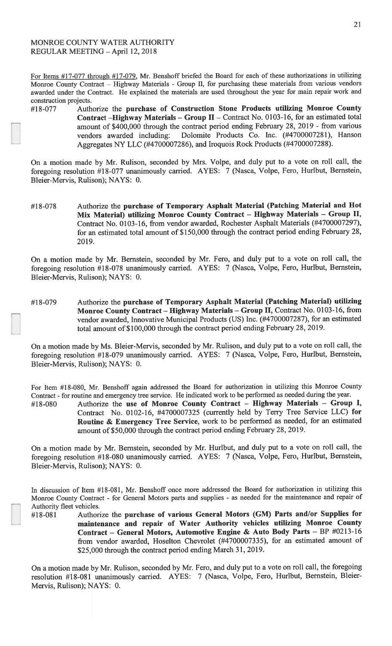For Items  $\#17$ -077 through  $\#17$ -079, Mr. Benshoff briefed the Board for each of these authorizations in utilizing Monroe County Contract – Highway Materials - Group II, for purchasing these materials from various vendors awarded under the Contract. He explained the materials are used throughout the year for main repair work and construction projects.

#18-077 Authorize the purchase of Construction Stone Products utilizing Monroe County Contract -Highway Materials - Group II - Contract No. 0103-16, for an estimated total amount of \$400,000 through the contract period ending February 28, 2019 - from various Dolomite Products Co. Inc. (#4700007281), Hanson vendors awarded including: Aggregates NY LLC (#4700007286), and Iroquois Rock Products (#4700007288).

On a motion made by Mr. Rulison, seconded by Mrs. Volpe, and duly put to a vote on roll call, the foregoing resolution #18-077 unanimously carried. AYES: 7 (Nasca, Volpe, Fero, Hurlbut, Bernstein, Bleier-Mervis, Rulison); NAYS: 0.

Authorize the purchase of Temporary Asphalt Material (Patching Material and Hot #18-078 Mix Material) utilizing Monroe County Contract - Highway Materials - Group II, Contract No. 0103-16, from vendor awarded, Rochester Asphalt Materials (#4700007297), for an estimated total amount of \$150,000 through the contract period ending February 28, 2019.

On a motion made by Mr. Bernstein, seconded by Mr. Fero, and duly put to a vote on roll call, the foregoing resolution #18-078 unanimously carried. AYES: 7 (Nasca, Volpe, Fero, Hurlbut, Bernstein, Bleier-Mervis, Rulison); NAYS: 0.

Authorize the purchase of Temporary Asphalt Material (Patching Material) utilizing #18-079 Monroe County Contract - Highway Materials - Group II, Contract No. 0103-16, from vendor awarded, Innovative Municipal Products (US) Inc. (#4700007287), for an estimated total amount of \$100,000 through the contract period ending February 28, 2019.

On a motion made by Ms. Bleier-Mervis, seconded by Mr. Rulison, and duly put to a vote on roll call, the foregoing resolution #18-079 unanimously carried. AYES: 7 (Nasca, Volpe, Fero, Hurlbut, Bernstein, Bleier-Mervis, Rulison); NAYS: 0.

For Item #18-080, Mr. Benshoff again addressed the Board for authorization in utilizing this Monroe County Contract - for routine and emergency tree service. He indicated work to be performed as needed during the year.

Authorize the use of Monroe County Contract - Highway Materials - Group I, #18-080 Contract No. 0102-16, #4700007325 (currently held by Terry Tree Service LLC) for Routine & Emergency Tree Service, work to be performed as needed, for an estimated amount of \$50,000 through the contract period ending February 28, 2019.

On a motion made by Mr. Bernstein, seconded by Mr. Hurlbut, and duly put to a vote on roll call, the foregoing resolution #18-080 unanimously carried. AYES: 7 (Nasca, Volpe, Fero, Hurlbut, Bernstein, Bleier-Mervis, Rulison); NAYS: 0.

Authorize the purchase of various General Motors (GM) Parts and/or Supplies for maintenance and repair of Water Authority vehicles utilizing Monroe County Contract - General Motors, Automotive Engine & Auto Body Parts - BP #0213-16 from vendor awarded, Hoselton Chevrolet (#4700007335), for an estimated amount of \$25,000 through the contract period ending March 31, 2019.

On a motion made by Mr. Rulison, seconded by Mr. Fero, and duly put to a vote on roll call, the foregoing resolution #18-081 unanimously carried. AYES: 7 (Nasca, Volpe, Fero, Hurlbut, Bernstein, Bleier-Mervis, Rulison); NAYS: 0.

In discussion of Item #18-081, Mr. Benshoff once more addressed the Board for authorization in utilizing this Monroe County Contract - for General Motors parts and supplies - as needed for the maintenance and repair of Authority fleet vehicles. #18-081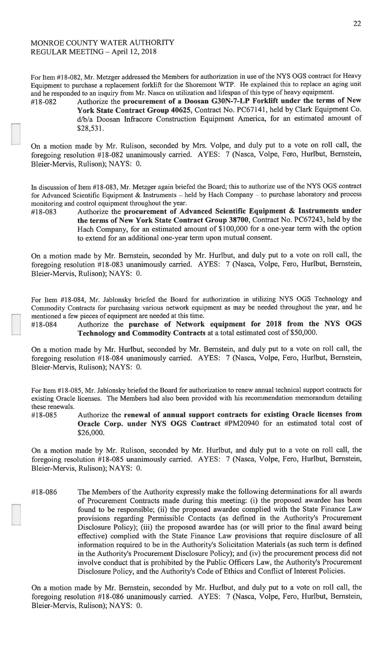#18-082

For Item #18-082, Mr. Metzger addressed the Members for authorization in use of the NYS OGS contract for Heavy Equipment to purchase a replacement forklift for the Shoremont WTP. He explained this to replace an aging unit and he responded to an inquiry from Mr. Nasca on utilization and lifespan of this type of heavy equipment.

Authorize the procurement of a Doosan G30N-7-LP Forklift under the terms of New York State Contract Group 40625, Contract No. PC67141, held by Clark Equipment Co. d/b/a Doosan Infracore Construction Equipment America, for an estimated amount of \$28,531.

On a motion made by Mr. Rulison, seconded by Mrs. Volpe, and duly put to a vote on roll call, the foregoing resolution #18-082 unanimously carried. AYES: 7 (Nasca, Volpe, Fero, Hurlbut, Bernstein, Bleier-Mervis, Rulison); NAYS: 0.

In discussion of Item #18-083, Mr. Metzger again briefed the Board; this to authorize use of the NYS OGS contract for Advanced Scientific Equipment & Instruments - held by Hach Company - to purchase laboratory and process monitoring and control equipment throughout the year. #18-083

Authorize the procurement of Advanced Scientific Equipment & Instruments under the terms of New York State Contract Group 38700, Contract No. PC67243, held by the Hach Company, for an estimated amount of \$100,000 for a one-year term with the option to extend for an additional one-year term upon mutual consent.

On a motion made by Mr. Bernstein, seconded by Mr. Hurlbut, and duly put to a vote on roll call, the foregoing resolution #18-083 unanimously carried. AYES: 7 (Nasca, Volpe, Fero, Hurlbut, Bernstein, Bleier-Mervis, Rulison); NAYS: 0.

For Item #18-084, Mr. Jablonsky briefed the Board for authorization in utilizing NYS OGS Technology and Commodity Contracts for purchasing various network equipment as may be needed throughout the year, and he mentioned a few pieces of equipment are needed at this time.

Authorize the purchase of Network equipment for 2018 from the NYS OGS #18-084 Technology and Commodity Contracts at a total estimated cost of \$50,000.

On a motion made by Mr. Hurlbut, seconded by Mr. Bernstein, and duly put to a vote on roll call, the foregoing resolution #18-084 unanimously carried. AYES: 7 (Nasca, Volpe, Fero, Hurlbut, Bernstein, Bleier-Mervis, Rulison); NAYS: 0.

For Item #18-085, Mr. Jablonsky briefed the Board for authorization to renew annual technical support contracts for existing Oracle licenses. The Members had also been provided with his recommendation memorandum detailing these renewals.

Authorize the renewal of annual support contracts for existing Oracle licenses from #18-085 Oracle Corp. under NYS OGS Contract #PM20940 for an estimated total cost of \$26,000.

On a motion made by Mr. Rulison, seconded by Mr. Hurlbut, and duly put to a vote on roll call, the foregoing resolution #18-085 unanimously carried. AYES: 7 (Nasca, Volpe, Fero, Hurlbut, Bernstein, Bleier-Mervis, Rulison); NAYS: 0.

The Members of the Authority expressly make the following determinations for all awards #18-086 of Procurement Contracts made during this meeting: (i) the proposed awardee has been found to be responsible; (ii) the proposed awardee complied with the State Finance Law provisions regarding Permissible Contacts (as defined in the Authority's Procurement Disclosure Policy); (iii) the proposed awardee has (or will prior to the final award being effective) complied with the State Finance Law provisions that require disclosure of all information required to be in the Authority's Solicitation Materials (as such term is defined in the Authority's Procurement Disclosure Policy); and (iv) the procurement process did not involve conduct that is prohibited by the Public Officers Law, the Authority's Procurement Disclosure Policy, and the Authority's Code of Ethics and Conflict of Interest Policies.

On a motion made by Mr. Bernstein, seconded by Mr. Hurlbut, and duly put to a vote on roll call, the foregoing resolution #18-086 unanimously carried. AYES: 7 (Nasca, Volpe, Fero, Hurlbut, Bernstein, Bleier-Mervis, Rulison); NAYS: 0.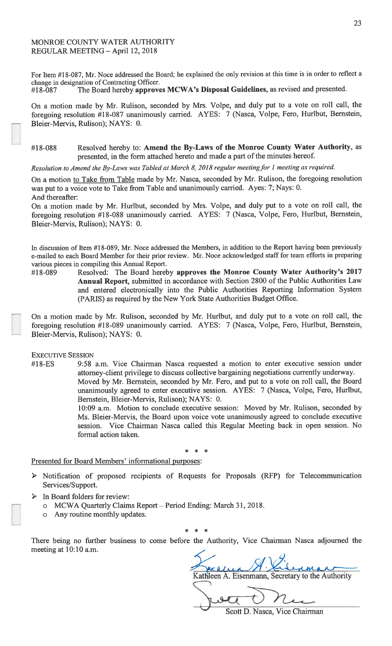For Item #18-087, Mr. Noce addressed the Board; he explained the only revision at this time is in order to reflect a change in designation of Contracting Officer. The Board hereby approves MCWA's Disposal Guidelines, as revised and presented. #18-087

On a motion made by Mr. Rulison, seconded by Mrs. Volpe, and duly put to a vote on roll call, the foregoing resolution #18-087 unanimously carried. AYES: 7 (Nasca, Volpe, Fero, Hurlbut, Bernstein, Bleier-Mervis, Rulison); NAYS: 0.

#### Resolved hereby to: Amend the By-Laws of the Monroe County Water Authority, as #18-088 presented, in the form attached hereto and made a part of the minutes hereof.

Resolution to Amend the By-Laws was Tabled at March 8, 2018 regular meeting for 1 meeting as required.

On a motion to Take from Table made by Mr. Nasca, seconded by Mr. Rulison, the foregoing resolution was put to a voice vote to Take from Table and unanimously carried. Ayes: 7; Nays: 0. And thereafter:

On a motion made by Mr. Hurlbut, seconded by Mrs. Volpe, and duly put to a vote on roll call, the foregoing resolution #18-088 unanimously carried. AYES: 7 (Nasca, Volpe, Fero, Hurlbut, Bernstein, Bleier-Mervis, Rulison); NAYS: 0.

In discussion of Item #18-089, Mr. Noce addressed the Members, in addition to the Report having been previously e-mailed to each Board Member for their prior review. Mr. Noce acknowledged staff for team efforts in preparing various pieces in compiling this Annual Report.

Resolved: The Board hereby approves the Monroe County Water Authority's 2017 #18-089 Annual Report, submitted in accordance with Section 2800 of the Public Authorities Law and entered electronically into the Public Authorities Reporting Information System (PARIS) as required by the New York State Authorities Budget Office.

On a motion made by Mr. Rulison, seconded by Mr. Hurlbut, and duly put to a vote on roll call, the foregoing resolution #18-089 unanimously carried. AYES: 7 (Nasca, Volpe, Fero, Hurlbut, Bernstein, Bleier-Mervis, Rulison); NAYS: 0.

### **EXECUTIVE SESSION**

#18-ES 9:58 a.m. Vice Chairman Nasca requested a motion to enter executive session under attorney-client privilege to discuss collective bargaining negotiations currently underway. Moved by Mr. Bernstein, seconded by Mr. Fero, and put to a vote on roll call, the Board

unanimously agreed to enter executive session. AYES: 7 (Nasca, Volpe, Fero, Hurlbut, Bernstein, Bleier-Mervis, Rulison); NAYS: 0.

10:09 a.m. Motion to conclude executive session: Moved by Mr. Rulison, seconded by Ms. Bleier-Mervis, the Board upon voice vote unanimously agreed to conclude executive session. Vice Chairman Nasca called this Regular Meeting back in open session. No formal action taken.

### Presented for Board Members' informational purposes:

- Notification of proposed recipients of Requests for Proposals (RFP) for Telecommunication Services/Support.
- $\triangleright$  In Board folders for review:
	- o MCWA Quarterly Claims Report Period Ending: March 31, 2018.
	- o Any routine monthly updates.

There being no further business to come before the Authority, Vice Chairman Nasca adjourned the meeting at 10:10 a.m.

Kathleen A. Eisenmann, Secretary to the Authority

Scott D. Nasca, Vice Chairman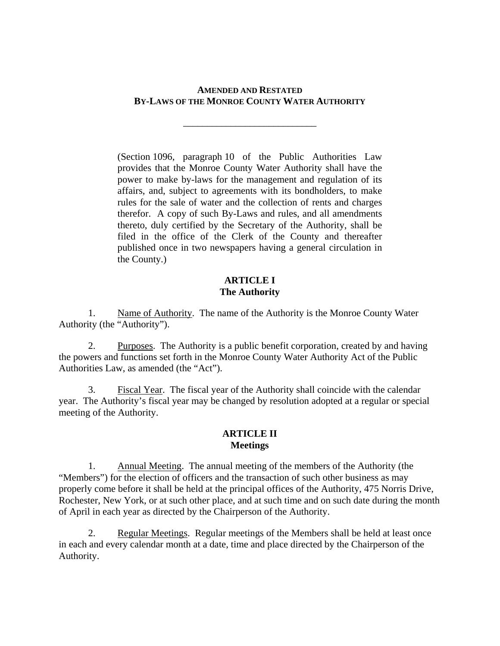# **AMENDED AND RESTATED BY-LAWS OF THE MONROE COUNTY WATER AUTHORITY**

\_\_\_\_\_\_\_\_\_\_\_\_\_\_\_\_\_\_\_\_\_\_\_\_\_\_\_\_

(Section 1096, paragraph 10 of the Public Authorities Law provides that the Monroe County Water Authority shall have the power to make by-laws for the management and regulation of its affairs, and, subject to agreements with its bondholders, to make rules for the sale of water and the collection of rents and charges therefor. A copy of such By-Laws and rules, and all amendments thereto, duly certified by the Secretary of the Authority, shall be filed in the office of the Clerk of the County and thereafter published once in two newspapers having a general circulation in the County.)

# **ARTICLE I The Authority**

1. Name of Authority. The name of the Authority is the Monroe County Water Authority (the "Authority").

2. Purposes. The Authority is a public benefit corporation, created by and having the powers and functions set forth in the Monroe County Water Authority Act of the Public Authorities Law, as amended (the "Act").

3. Fiscal Year. The fiscal year of the Authority shall coincide with the calendar year. The Authority's fiscal year may be changed by resolution adopted at a regular or special meeting of the Authority.

# **ARTICLE II Meetings**

1. Annual Meeting. The annual meeting of the members of the Authority (the "Members") for the election of officers and the transaction of such other business as may properly come before it shall be held at the principal offices of the Authority, 475 Norris Drive, Rochester, New York, or at such other place, and at such time and on such date during the month of April in each year as directed by the Chairperson of the Authority.

2. Regular Meetings. Regular meetings of the Members shall be held at least once in each and every calendar month at a date, time and place directed by the Chairperson of the Authority.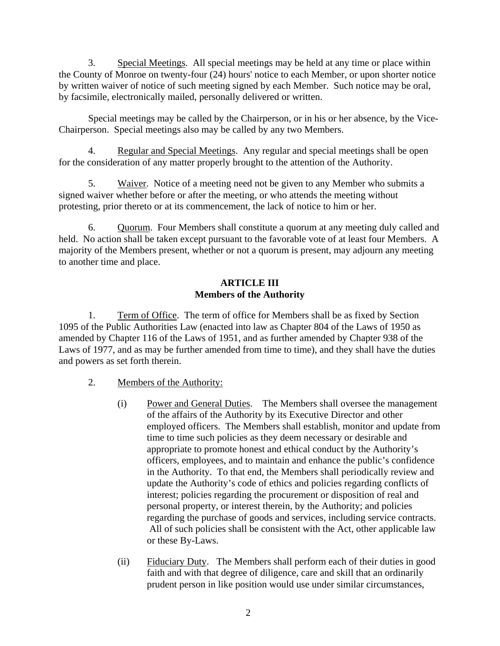3. Special Meetings. All special meetings may be held at any time or place within the County of Monroe on twenty-four (24) hours' notice to each Member, or upon shorter notice by written waiver of notice of such meeting signed by each Member. Such notice may be oral, by facsimile, electronically mailed, personally delivered or written.

Special meetings may be called by the Chairperson, or in his or her absence, by the Vice-Chairperson. Special meetings also may be called by any two Members.

4. Regular and Special Meetings. Any regular and special meetings shall be open for the consideration of any matter properly brought to the attention of the Authority.

5. Waiver. Notice of a meeting need not be given to any Member who submits a signed waiver whether before or after the meeting, or who attends the meeting without protesting, prior thereto or at its commencement, the lack of notice to him or her.

6. Quorum. Four Members shall constitute a quorum at any meeting duly called and held. No action shall be taken except pursuant to the favorable vote of at least four Members. A majority of the Members present, whether or not a quorum is present, may adjourn any meeting to another time and place.

# **ARTICLE III Members of the Authority**

1. Term of Office. The term of office for Members shall be as fixed by Section 1095 of the Public Authorities Law (enacted into law as Chapter 804 of the Laws of 1950 as amended by Chapter 116 of the Laws of 1951, and as further amended by Chapter 938 of the Laws of 1977, and as may be further amended from time to time), and they shall have the duties and powers as set forth therein.

- 2. Members of the Authority:
	- (i) Power and General Duties. The Members shall oversee the management of the affairs of the Authority by its Executive Director and other employed officers. The Members shall establish, monitor and update from time to time such policies as they deem necessary or desirable and appropriate to promote honest and ethical conduct by the Authority's officers, employees, and to maintain and enhance the public's confidence in the Authority. To that end, the Members shall periodically review and update the Authority's code of ethics and policies regarding conflicts of interest; policies regarding the procurement or disposition of real and personal property, or interest therein, by the Authority; and policies regarding the purchase of goods and services, including service contracts. All of such policies shall be consistent with the Act, other applicable law or these By-Laws.
	- (ii) Fiduciary Duty. The Members shall perform each of their duties in good faith and with that degree of diligence, care and skill that an ordinarily prudent person in like position would use under similar circumstances,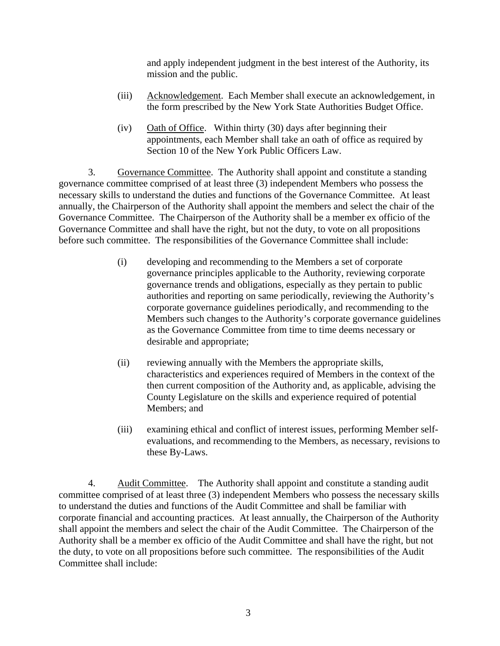and apply independent judgment in the best interest of the Authority, its mission and the public.

- (iii) Acknowledgement. Each Member shall execute an acknowledgement, in the form prescribed by the New York State Authorities Budget Office.
- (iv) Oath of Office. Within thirty (30) days after beginning their appointments, each Member shall take an oath of office as required by Section 10 of the New York Public Officers Law.

3. Governance Committee. The Authority shall appoint and constitute a standing governance committee comprised of at least three (3) independent Members who possess the necessary skills to understand the duties and functions of the Governance Committee. At least annually, the Chairperson of the Authority shall appoint the members and select the chair of the Governance Committee. The Chairperson of the Authority shall be a member ex officio of the Governance Committee and shall have the right, but not the duty, to vote on all propositions before such committee. The responsibilities of the Governance Committee shall include:

- (i) developing and recommending to the Members a set of corporate governance principles applicable to the Authority, reviewing corporate governance trends and obligations, especially as they pertain to public authorities and reporting on same periodically, reviewing the Authority's corporate governance guidelines periodically, and recommending to the Members such changes to the Authority's corporate governance guidelines as the Governance Committee from time to time deems necessary or desirable and appropriate;
- (ii) reviewing annually with the Members the appropriate skills, characteristics and experiences required of Members in the context of the then current composition of the Authority and, as applicable, advising the County Legislature on the skills and experience required of potential Members; and
- (iii) examining ethical and conflict of interest issues, performing Member selfevaluations, and recommending to the Members, as necessary, revisions to these By-Laws.

4. Audit Committee. The Authority shall appoint and constitute a standing audit committee comprised of at least three (3) independent Members who possess the necessary skills to understand the duties and functions of the Audit Committee and shall be familiar with corporate financial and accounting practices. At least annually, the Chairperson of the Authority shall appoint the members and select the chair of the Audit Committee. The Chairperson of the Authority shall be a member ex officio of the Audit Committee and shall have the right, but not the duty, to vote on all propositions before such committee. The responsibilities of the Audit Committee shall include: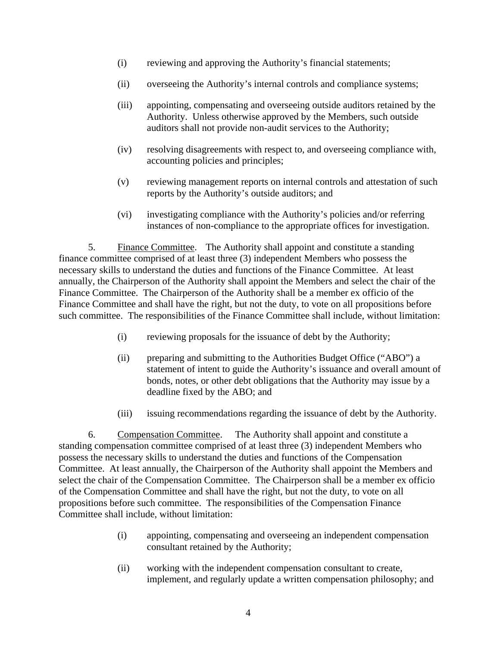- (i) reviewing and approving the Authority's financial statements;
- (ii) overseeing the Authority's internal controls and compliance systems;
- (iii) appointing, compensating and overseeing outside auditors retained by the Authority. Unless otherwise approved by the Members, such outside auditors shall not provide non-audit services to the Authority;
- (iv) resolving disagreements with respect to, and overseeing compliance with, accounting policies and principles;
- (v) reviewing management reports on internal controls and attestation of such reports by the Authority's outside auditors; and
- (vi) investigating compliance with the Authority's policies and/or referring instances of non-compliance to the appropriate offices for investigation.

5. Finance Committee. The Authority shall appoint and constitute a standing finance committee comprised of at least three (3) independent Members who possess the necessary skills to understand the duties and functions of the Finance Committee. At least annually, the Chairperson of the Authority shall appoint the Members and select the chair of the Finance Committee. The Chairperson of the Authority shall be a member ex officio of the Finance Committee and shall have the right, but not the duty, to vote on all propositions before such committee. The responsibilities of the Finance Committee shall include, without limitation:

- (i) reviewing proposals for the issuance of debt by the Authority;
- (ii) preparing and submitting to the Authorities Budget Office ("ABO") a statement of intent to guide the Authority's issuance and overall amount of bonds, notes, or other debt obligations that the Authority may issue by a deadline fixed by the ABO; and
- (iii) issuing recommendations regarding the issuance of debt by the Authority.

6. Compensation Committee. The Authority shall appoint and constitute a standing compensation committee comprised of at least three (3) independent Members who possess the necessary skills to understand the duties and functions of the Compensation Committee. At least annually, the Chairperson of the Authority shall appoint the Members and select the chair of the Compensation Committee. The Chairperson shall be a member ex officio of the Compensation Committee and shall have the right, but not the duty, to vote on all propositions before such committee. The responsibilities of the Compensation Finance Committee shall include, without limitation:

- (i) appointing, compensating and overseeing an independent compensation consultant retained by the Authority;
- (ii) working with the independent compensation consultant to create, implement, and regularly update a written compensation philosophy; and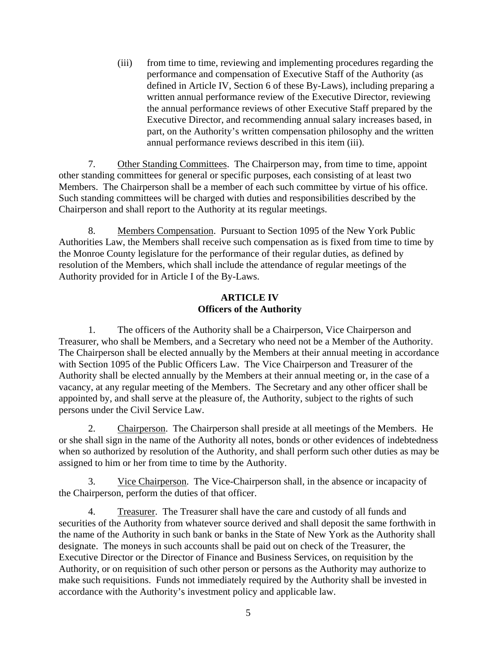(iii) from time to time, reviewing and implementing procedures regarding the performance and compensation of Executive Staff of the Authority (as defined in Article IV, Section 6 of these By-Laws), including preparing a written annual performance review of the Executive Director, reviewing the annual performance reviews of other Executive Staff prepared by the Executive Director, and recommending annual salary increases based, in part, on the Authority's written compensation philosophy and the written annual performance reviews described in this item (iii).

7. Other Standing Committees. The Chairperson may, from time to time, appoint other standing committees for general or specific purposes, each consisting of at least two Members. The Chairperson shall be a member of each such committee by virtue of his office. Such standing committees will be charged with duties and responsibilities described by the Chairperson and shall report to the Authority at its regular meetings.

8. Members Compensation. Pursuant to Section 1095 of the New York Public Authorities Law, the Members shall receive such compensation as is fixed from time to time by the Monroe County legislature for the performance of their regular duties, as defined by resolution of the Members, which shall include the attendance of regular meetings of the Authority provided for in Article I of the By-Laws.

## **ARTICLE IV Officers of the Authority**

1. The officers of the Authority shall be a Chairperson, Vice Chairperson and Treasurer, who shall be Members, and a Secretary who need not be a Member of the Authority. The Chairperson shall be elected annually by the Members at their annual meeting in accordance with Section 1095 of the Public Officers Law. The Vice Chairperson and Treasurer of the Authority shall be elected annually by the Members at their annual meeting or, in the case of a vacancy, at any regular meeting of the Members. The Secretary and any other officer shall be appointed by, and shall serve at the pleasure of, the Authority, subject to the rights of such persons under the Civil Service Law.

2. Chairperson. The Chairperson shall preside at all meetings of the Members. He or she shall sign in the name of the Authority all notes, bonds or other evidences of indebtedness when so authorized by resolution of the Authority, and shall perform such other duties as may be assigned to him or her from time to time by the Authority.

3. Vice Chairperson. The Vice-Chairperson shall, in the absence or incapacity of the Chairperson, perform the duties of that officer.

4. Treasurer. The Treasurer shall have the care and custody of all funds and securities of the Authority from whatever source derived and shall deposit the same forthwith in the name of the Authority in such bank or banks in the State of New York as the Authority shall designate. The moneys in such accounts shall be paid out on check of the Treasurer, the Executive Director or the Director of Finance and Business Services, on requisition by the Authority, or on requisition of such other person or persons as the Authority may authorize to make such requisitions. Funds not immediately required by the Authority shall be invested in accordance with the Authority's investment policy and applicable law.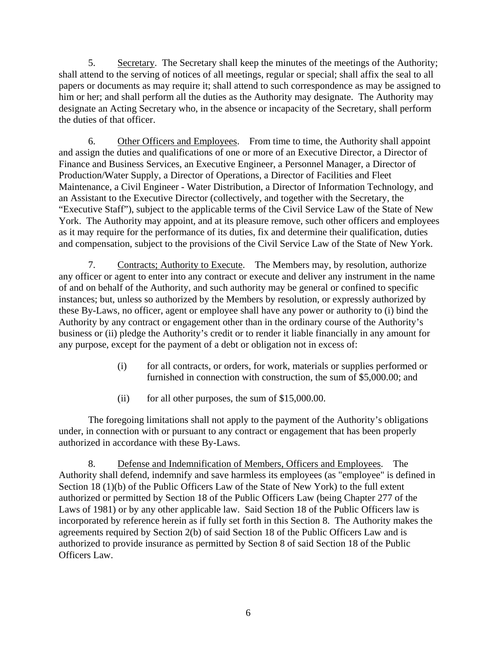5. Secretary. The Secretary shall keep the minutes of the meetings of the Authority; shall attend to the serving of notices of all meetings, regular or special; shall affix the seal to all papers or documents as may require it; shall attend to such correspondence as may be assigned to him or her; and shall perform all the duties as the Authority may designate. The Authority may designate an Acting Secretary who, in the absence or incapacity of the Secretary, shall perform the duties of that officer.

6. Other Officers and Employees. From time to time, the Authority shall appoint and assign the duties and qualifications of one or more of an Executive Director, a Director of Finance and Business Services, an Executive Engineer, a Personnel Manager, a Director of Production/Water Supply, a Director of Operations, a Director of Facilities and Fleet Maintenance, a Civil Engineer - Water Distribution, a Director of Information Technology, and an Assistant to the Executive Director (collectively, and together with the Secretary, the "Executive Staff"), subject to the applicable terms of the Civil Service Law of the State of New York. The Authority may appoint, and at its pleasure remove, such other officers and employees as it may require for the performance of its duties, fix and determine their qualification, duties and compensation, subject to the provisions of the Civil Service Law of the State of New York.

7. Contracts; Authority to Execute. The Members may, by resolution, authorize any officer or agent to enter into any contract or execute and deliver any instrument in the name of and on behalf of the Authority, and such authority may be general or confined to specific instances; but, unless so authorized by the Members by resolution, or expressly authorized by these By-Laws, no officer, agent or employee shall have any power or authority to (i) bind the Authority by any contract or engagement other than in the ordinary course of the Authority's business or (ii) pledge the Authority's credit or to render it liable financially in any amount for any purpose, except for the payment of a debt or obligation not in excess of:

- (i) for all contracts, or orders, for work, materials or supplies performed or furnished in connection with construction, the sum of \$5,000.00; and
- (ii) for all other purposes, the sum of \$15,000.00.

The foregoing limitations shall not apply to the payment of the Authority's obligations under, in connection with or pursuant to any contract or engagement that has been properly authorized in accordance with these By-Laws.

8. Defense and Indemnification of Members, Officers and Employees. The Authority shall defend, indemnify and save harmless its employees (as "employee" is defined in Section 18 (1)(b) of the Public Officers Law of the State of New York) to the full extent authorized or permitted by Section 18 of the Public Officers Law (being Chapter 277 of the Laws of 1981) or by any other applicable law. Said Section 18 of the Public Officers law is incorporated by reference herein as if fully set forth in this Section 8. The Authority makes the agreements required by Section 2(b) of said Section 18 of the Public Officers Law and is authorized to provide insurance as permitted by Section 8 of said Section 18 of the Public Officers Law.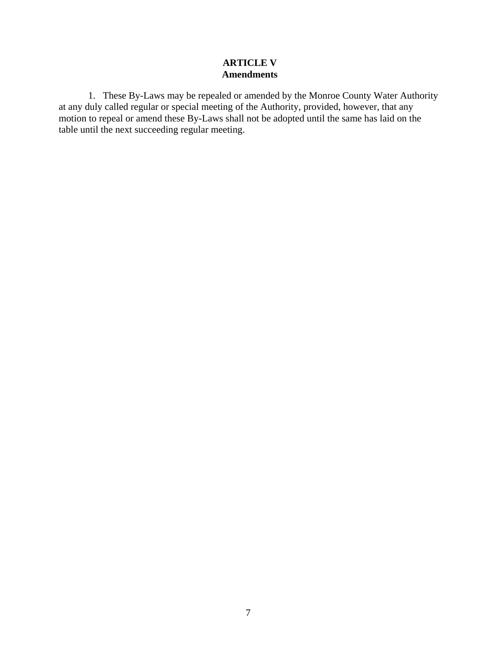# **ARTICLE V Amendments**

1. These By-Laws may be repealed or amended by the Monroe County Water Authority at any duly called regular or special meeting of the Authority, provided, however, that any motion to repeal or amend these By-Laws shall not be adopted until the same has laid on the table until the next succeeding regular meeting.